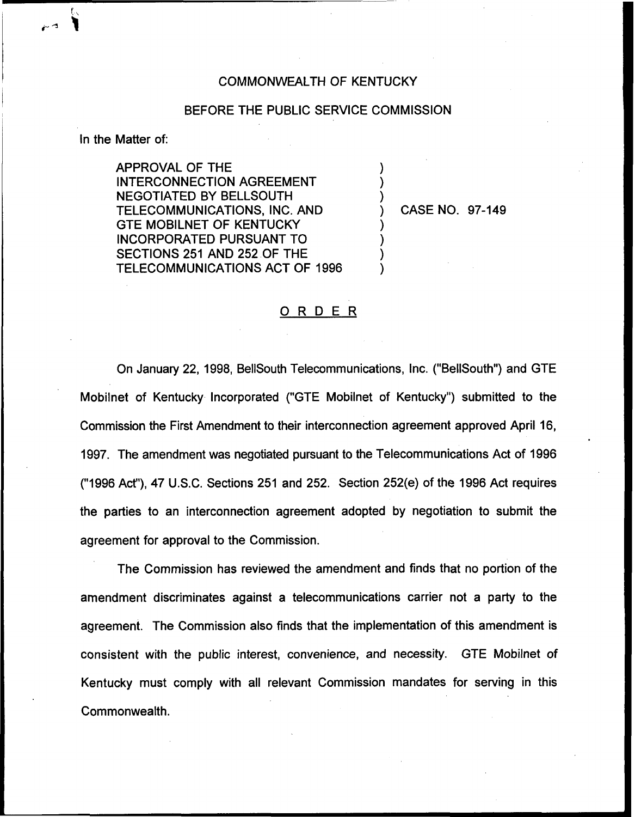## COMMONWEALTH OF KENTUCKY

## BEFORE THE PUBLIC SERVICE COMMISSION

) ) )

) ) ) )

In the Matter of:

APPROVAL OF THE INTERCONNECTION AGREEMENT NEGOTIATED BY BELLSOUTH TELECOMMUNICATIONS, INC. AND GTE MOBILNET OF KENTUCKY INCORPORATED PURSUANT TO SECTIONS 251 AND 252 OF THE TELECOMMUNICATIONS ACT OF 1996

) CASE NO. 97-149

## ORDER

On January 22, 1998, BellSouth Telecommunications, Inc. ("BellSouth") and GTE Mobilnet of Kentucky Incorporated ("GTE Mobilnet of Kentucky") submitted to the Commission the First Amendment to their interconnection agreement approved April 16, 1997. The amendment was negotiated pursuant to the Telecommunications Act of 1996 ("1996Act"), 47 U.S.C. Sections 251 and 252. Section 252(e) of the 1996 Act requires the parties to an interconnection agreement adopted by negotiation to submit the agreement for approval to the Commission.

The Commission has reviewed the amendment and finds that no portion of the amendment discriminates against a telecommunications carrier not a party to the agreement. The Commission also finds that the implementation of this amendment is consistent with the public interest, convenience, and necessity. GTE Mobilnet of Kentucky must comply with all relevant Commission mandates for serving in this Commonwealth.